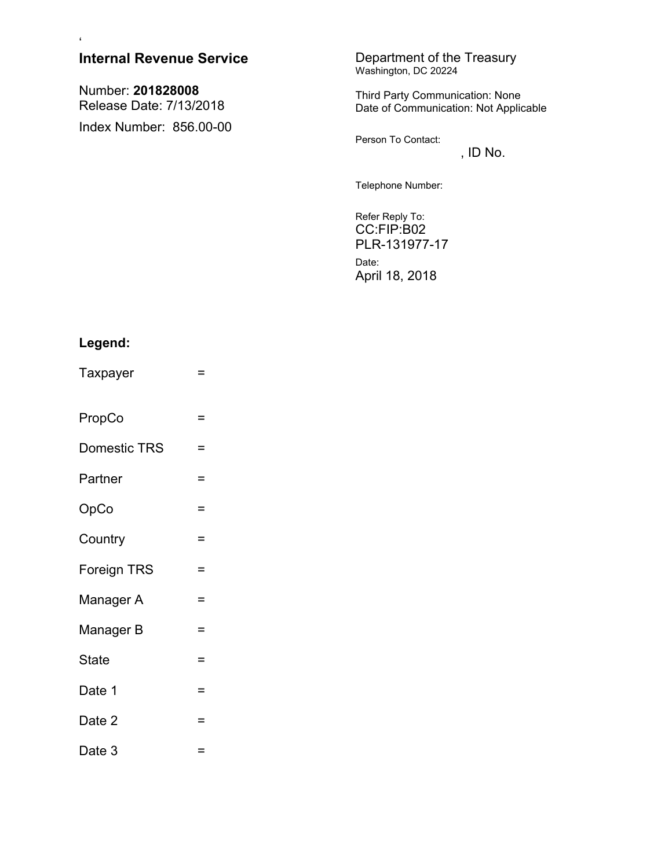| $\pmb{\epsilon}$                             |                                                                          |
|----------------------------------------------|--------------------------------------------------------------------------|
| <b>Internal Revenue Service</b>              | Department of the Treasury<br>Washington, DC 20224                       |
| Number: 201828008<br>Release Date: 7/13/2018 | Third Party Communication: None<br>Date of Communication: Not Applicable |
| Index Number: 856.00-00                      | Person To Contact:<br>, ID $No.$                                         |
|                                              | Telephone Number:                                                        |
|                                              | Refer Reply To:<br>CC:FIP:B02                                            |

PLR-131977-17 Date: April 18, 2018

# **Legend:**

- Taxpayer =
- PropCo =
- Domestic TRS =
- Partner =
- $OpCo$  =
- Country =
- Foreign TRS =
- Manager A =
- $Manager B =$
- $State$  =
- Date 1  $=$
- Date 2  $=$
- Date  $3 =$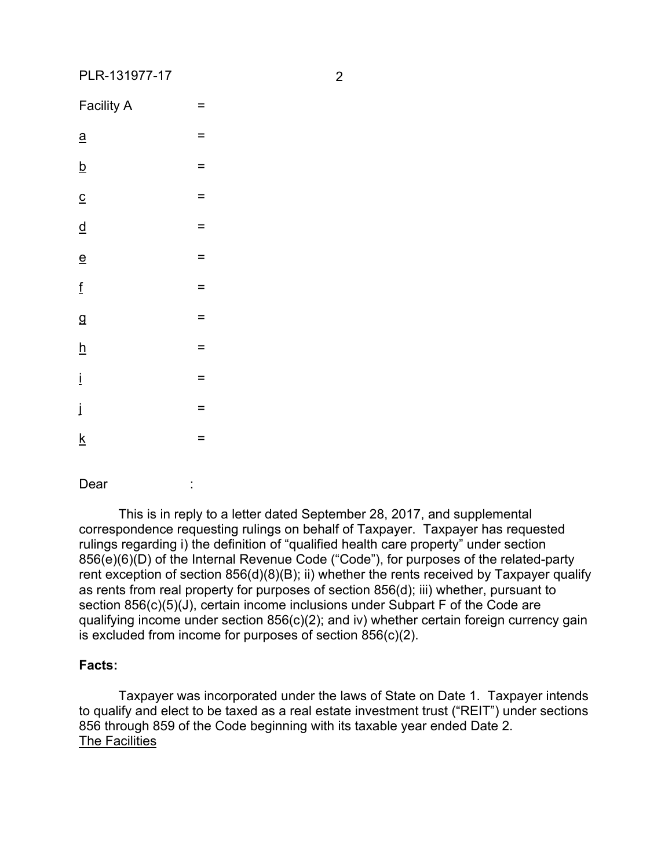| <b>Facility A</b>                    | $=$      |
|--------------------------------------|----------|
| $\underline{a}$                      | $=$      |
| $\underline{\underline{b}}$          | $=$      |
| $\overline{c}$                       | $=$      |
| $\underline{\underline{\mathsf{d}}}$ | $\equiv$ |
| $\underline{\mathbf{e}}$             | $=$      |
| $\underline{\mathsf{f}}$             | $=$      |
| $\mathbf{g}$                         | $=$      |
| $\underline{\mathsf{h}}$             | $=$      |
| $\dot{\underline{\textbf{I}}}$       | $=$      |
| $\dot{\mathbf{I}}$                   | Ξ        |
| $\underline{\mathsf{k}}$             | $=$      |

Dear :

This is in reply to a letter dated September 28, 2017, and supplemental correspondence requesting rulings on behalf of Taxpayer. Taxpayer has requested rulings regarding i) the definition of "qualified health care property" under section 856(e)(6)(D) of the Internal Revenue Code ("Code"), for purposes of the related-party rent exception of section 856(d)(8)(B); ii) whether the rents received by Taxpayer qualify as rents from real property for purposes of section 856(d); iii) whether, pursuant to section 856(c)(5)(J), certain income inclusions under Subpart F of the Code are qualifying income under section 856(c)(2); and iv) whether certain foreign currency gain is excluded from income for purposes of section 856(c)(2).

# **Facts:**

Taxpayer was incorporated under the laws of State on Date 1. Taxpayer intends to qualify and elect to be taxed as a real estate investment trust ("REIT") under sections 856 through 859 of the Code beginning with its taxable year ended Date 2. The Facilities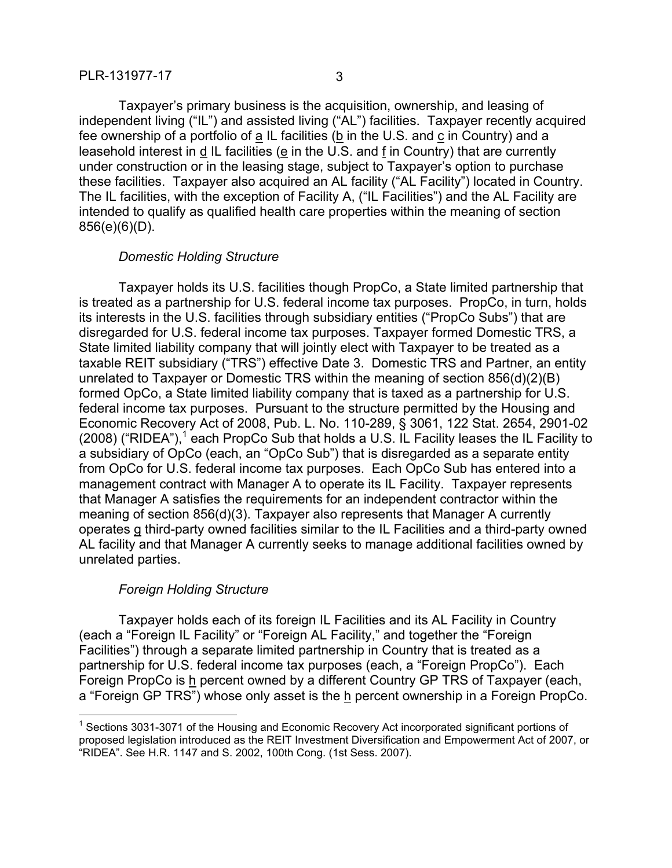Taxpayer's primary business is the acquisition, ownership, and leasing of independent living ("IL") and assisted living ("AL") facilities. Taxpayer recently acquired fee ownership of a portfolio of a IL facilities (b in the U.S. and c in Country) and a leasehold interest in d IL facilities (e in the U.S. and f in Country) that are currently under construction or in the leasing stage, subject to Taxpayer's option to purchase these facilities. Taxpayer also acquired an AL facility ("AL Facility") located in Country. The IL facilities, with the exception of Facility A, ("IL Facilities") and the AL Facility are intended to qualify as qualified health care properties within the meaning of section 856(e)(6)(D).

#### *Domestic Holding Structure*

Taxpayer holds its U.S. facilities though PropCo, a State limited partnership that is treated as a partnership for U.S. federal income tax purposes. PropCo, in turn, holds its interests in the U.S. facilities through subsidiary entities ("PropCo Subs") that are disregarded for U.S. federal income tax purposes. Taxpayer formed Domestic TRS, a State limited liability company that will jointly elect with Taxpayer to be treated as a taxable REIT subsidiary ("TRS") effective Date 3. Domestic TRS and Partner, an entity unrelated to Taxpayer or Domestic TRS within the meaning of section 856(d)(2)(B) formed OpCo, a State limited liability company that is taxed as a partnership for U.S. federal income tax purposes. Pursuant to the structure permitted by the Housing and Economic Recovery Act of 2008, Pub. L. No. 110-289, § 3061, 122 Stat. 2654, 2901-02 (2008) ("RIDEA"),<sup>1</sup> each PropCo Sub that holds a U.S. IL Facility leases the IL Facility to a subsidiary of OpCo (each, an "OpCo Sub") that is disregarded as a separate entity from OpCo for U.S. federal income tax purposes. Each OpCo Sub has entered into a management contract with Manager A to operate its IL Facility. Taxpayer represents that Manager A satisfies the requirements for an independent contractor within the meaning of section 856(d)(3). Taxpayer also represents that Manager A currently operates g third-party owned facilities similar to the IL Facilities and a third-party owned AL facility and that Manager A currently seeks to manage additional facilities owned by unrelated parties.

# *Foreign Holding Structure*

 $\overline{a}$ 

Taxpayer holds each of its foreign IL Facilities and its AL Facility in Country (each a "Foreign IL Facility" or "Foreign AL Facility," and together the "Foreign Facilities") through a separate limited partnership in Country that is treated as a partnership for U.S. federal income tax purposes (each, a "Foreign PropCo"). Each Foreign PropCo is h percent owned by a different Country GP TRS of Taxpayer (each, a "Foreign GP TRS") whose only asset is the h percent ownership in a Foreign PropCo.

<sup>&</sup>lt;sup>1</sup> Sections 3031-3071 of the Housing and Economic Recovery Act incorporated significant portions of proposed legislation introduced as the REIT Investment Diversification and Empowerment Act of 2007, or "RIDEA". See H.R. 1147 and S. 2002, 100th Cong. (1st Sess. 2007).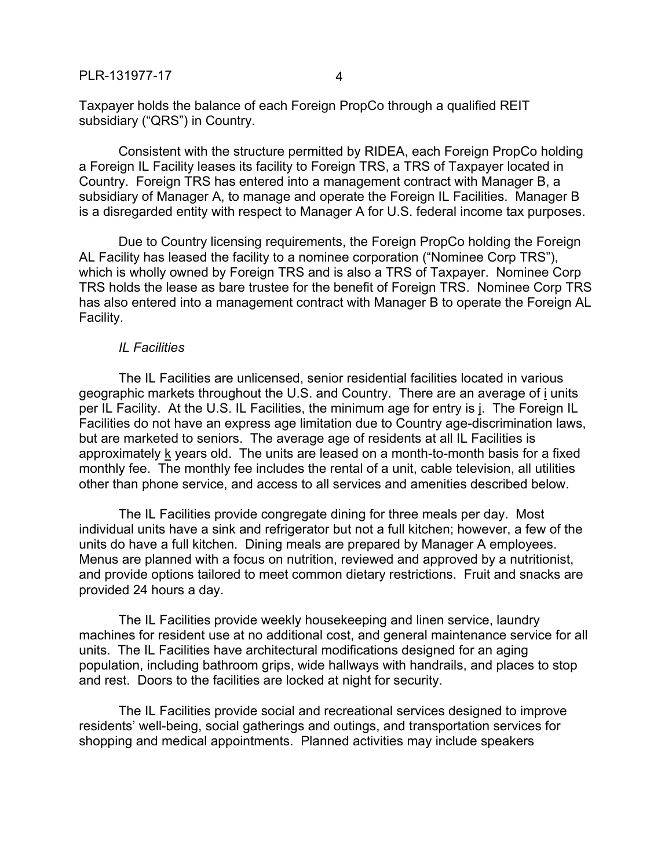Taxpayer holds the balance of each Foreign PropCo through a qualified REIT subsidiary ("QRS") in Country.

Consistent with the structure permitted by RIDEA, each Foreign PropCo holding a Foreign IL Facility leases its facility to Foreign TRS, a TRS of Taxpayer located in Country. Foreign TRS has entered into a management contract with Manager B, a subsidiary of Manager A, to manage and operate the Foreign IL Facilities. Manager B is a disregarded entity with respect to Manager A for U.S. federal income tax purposes.

Due to Country licensing requirements, the Foreign PropCo holding the Foreign AL Facility has leased the facility to a nominee corporation ("Nominee Corp TRS"), which is wholly owned by Foreign TRS and is also a TRS of Taxpayer. Nominee Corp TRS holds the lease as bare trustee for the benefit of Foreign TRS. Nominee Corp TRS has also entered into a management contract with Manager B to operate the Foreign AL Facility.

#### *IL Facilities*

The IL Facilities are unlicensed, senior residential facilities located in various geographic markets throughout the U.S. and Country. There are an average of i units per IL Facility. At the U.S. IL Facilities, the minimum age for entry is j. The Foreign IL Facilities do not have an express age limitation due to Country age-discrimination laws, but are marketed to seniors. The average age of residents at all IL Facilities is approximately k years old. The units are leased on a month-to-month basis for a fixed monthly fee. The monthly fee includes the rental of a unit, cable television, all utilities other than phone service, and access to all services and amenities described below.

The IL Facilities provide congregate dining for three meals per day. Most individual units have a sink and refrigerator but not a full kitchen; however, a few of the units do have a full kitchen. Dining meals are prepared by Manager A employees. Menus are planned with a focus on nutrition, reviewed and approved by a nutritionist, and provide options tailored to meet common dietary restrictions. Fruit and snacks are provided 24 hours a day.

The IL Facilities provide weekly housekeeping and linen service, laundry machines for resident use at no additional cost, and general maintenance service for all units. The IL Facilities have architectural modifications designed for an aging population, including bathroom grips, wide hallways with handrails, and places to stop and rest. Doors to the facilities are locked at night for security.

The IL Facilities provide social and recreational services designed to improve residents' well-being, social gatherings and outings, and transportation services for shopping and medical appointments. Planned activities may include speakers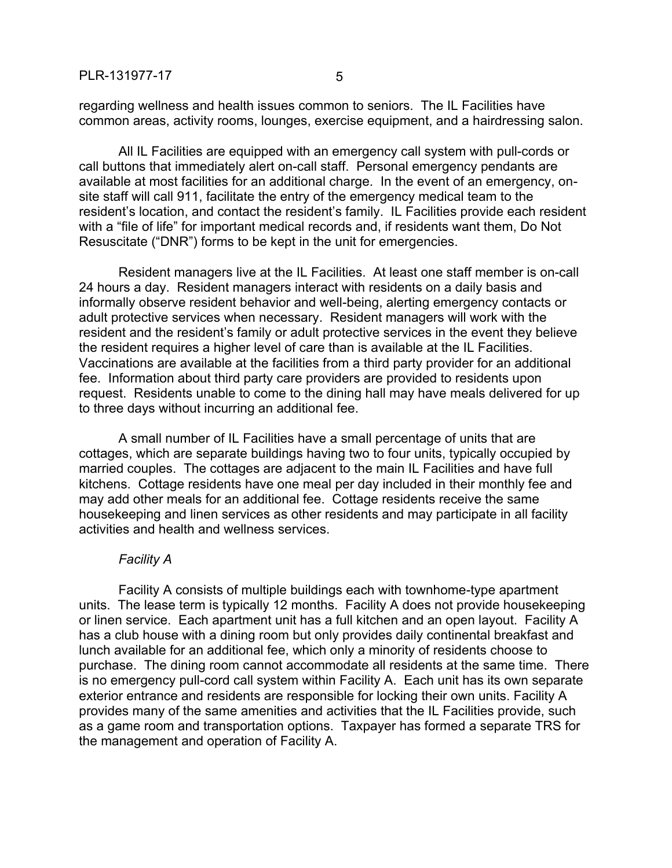regarding wellness and health issues common to seniors. The IL Facilities have common areas, activity rooms, lounges, exercise equipment, and a hairdressing salon.

All IL Facilities are equipped with an emergency call system with pull-cords or call buttons that immediately alert on-call staff. Personal emergency pendants are available at most facilities for an additional charge. In the event of an emergency, onsite staff will call 911, facilitate the entry of the emergency medical team to the resident's location, and contact the resident's family. IL Facilities provide each resident with a "file of life" for important medical records and, if residents want them, Do Not Resuscitate ("DNR") forms to be kept in the unit for emergencies.

Resident managers live at the IL Facilities. At least one staff member is on-call 24 hours a day. Resident managers interact with residents on a daily basis and informally observe resident behavior and well-being, alerting emergency contacts or adult protective services when necessary. Resident managers will work with the resident and the resident's family or adult protective services in the event they believe the resident requires a higher level of care than is available at the IL Facilities. Vaccinations are available at the facilities from a third party provider for an additional fee. Information about third party care providers are provided to residents upon request. Residents unable to come to the dining hall may have meals delivered for up to three days without incurring an additional fee.

A small number of IL Facilities have a small percentage of units that are cottages, which are separate buildings having two to four units, typically occupied by married couples. The cottages are adjacent to the main IL Facilities and have full kitchens. Cottage residents have one meal per day included in their monthly fee and may add other meals for an additional fee. Cottage residents receive the same housekeeping and linen services as other residents and may participate in all facility activities and health and wellness services.

#### *Facility A*

Facility A consists of multiple buildings each with townhome-type apartment units. The lease term is typically 12 months. Facility A does not provide housekeeping or linen service. Each apartment unit has a full kitchen and an open layout. Facility A has a club house with a dining room but only provides daily continental breakfast and lunch available for an additional fee, which only a minority of residents choose to purchase. The dining room cannot accommodate all residents at the same time. There is no emergency pull-cord call system within Facility A. Each unit has its own separate exterior entrance and residents are responsible for locking their own units. Facility A provides many of the same amenities and activities that the IL Facilities provide, such as a game room and transportation options. Taxpayer has formed a separate TRS for the management and operation of Facility A.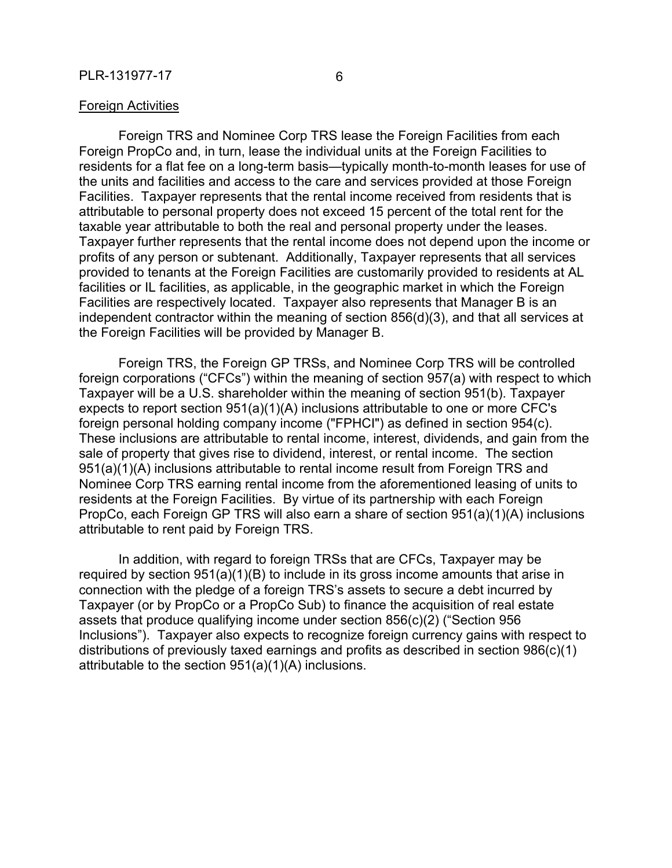#### Foreign Activities

Foreign TRS and Nominee Corp TRS lease the Foreign Facilities from each Foreign PropCo and, in turn, lease the individual units at the Foreign Facilities to residents for a flat fee on a long-term basis—typically month-to-month leases for use of the units and facilities and access to the care and services provided at those Foreign Facilities. Taxpayer represents that the rental income received from residents that is attributable to personal property does not exceed 15 percent of the total rent for the taxable year attributable to both the real and personal property under the leases. Taxpayer further represents that the rental income does not depend upon the income or profits of any person or subtenant. Additionally, Taxpayer represents that all services provided to tenants at the Foreign Facilities are customarily provided to residents at AL facilities or IL facilities, as applicable, in the geographic market in which the Foreign Facilities are respectively located. Taxpayer also represents that Manager B is an independent contractor within the meaning of section 856(d)(3), and that all services at the Foreign Facilities will be provided by Manager B.

Foreign TRS, the Foreign GP TRSs, and Nominee Corp TRS will be controlled foreign corporations ("CFCs") within the meaning of section 957(a) with respect to which Taxpayer will be a U.S. shareholder within the meaning of section 951(b). Taxpayer expects to report section 951(a)(1)(A) inclusions attributable to one or more CFC's foreign personal holding company income ("FPHCI") as defined in section 954(c). These inclusions are attributable to rental income, interest, dividends, and gain from the sale of property that gives rise to dividend, interest, or rental income. The section 951(a)(1)(A) inclusions attributable to rental income result from Foreign TRS and Nominee Corp TRS earning rental income from the aforementioned leasing of units to residents at the Foreign Facilities. By virtue of its partnership with each Foreign PropCo, each Foreign GP TRS will also earn a share of section 951(a)(1)(A) inclusions attributable to rent paid by Foreign TRS.

In addition, with regard to foreign TRSs that are CFCs, Taxpayer may be required by section  $951(a)(1)(B)$  to include in its gross income amounts that arise in connection with the pledge of a foreign TRS's assets to secure a debt incurred by Taxpayer (or by PropCo or a PropCo Sub) to finance the acquisition of real estate assets that produce qualifying income under section 856(c)(2) ("Section 956 Inclusions"). Taxpayer also expects to recognize foreign currency gains with respect to distributions of previously taxed earnings and profits as described in section 986(c)(1) attributable to the section 951(a)(1)(A) inclusions.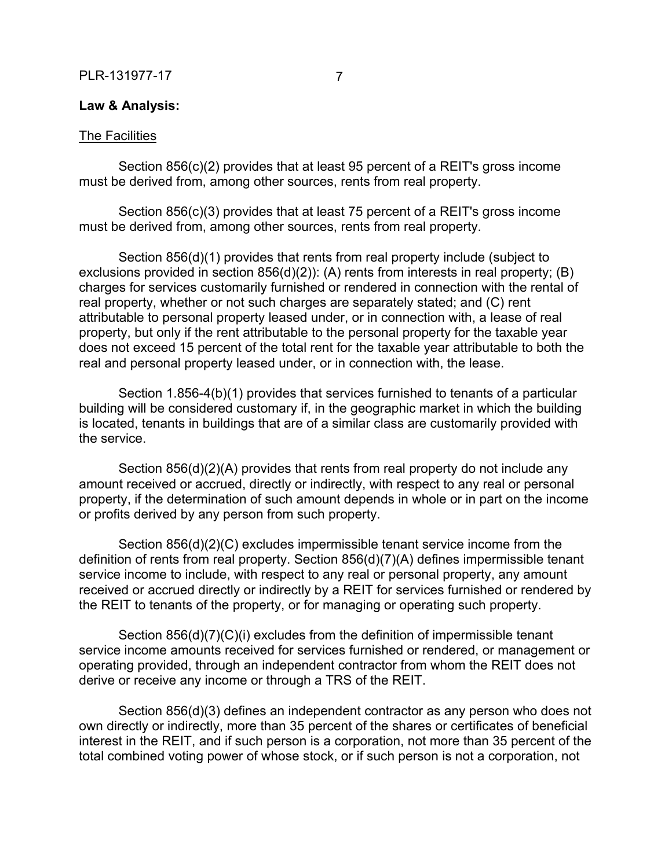### **Law & Analysis:**

#### The Facilities

Section 856(c)(2) provides that at least 95 percent of a REIT's gross income must be derived from, among other sources, rents from real property.

Section 856(c)(3) provides that at least 75 percent of a REIT's gross income must be derived from, among other sources, rents from real property.

Section 856(d)(1) provides that rents from real property include (subject to exclusions provided in section 856(d)(2)): (A) rents from interests in real property; (B) charges for services customarily furnished or rendered in connection with the rental of real property, whether or not such charges are separately stated; and (C) rent attributable to personal property leased under, or in connection with, a lease of real property, but only if the rent attributable to the personal property for the taxable year does not exceed 15 percent of the total rent for the taxable year attributable to both the real and personal property leased under, or in connection with, the lease.

Section 1.856-4(b)(1) provides that services furnished to tenants of a particular building will be considered customary if, in the geographic market in which the building is located, tenants in buildings that are of a similar class are customarily provided with the service.

Section 856(d)(2)(A) provides that rents from real property do not include any amount received or accrued, directly or indirectly, with respect to any real or personal property, if the determination of such amount depends in whole or in part on the income or profits derived by any person from such property.

Section 856(d)(2)(C) excludes impermissible tenant service income from the definition of rents from real property. Section 856(d)(7)(A) defines impermissible tenant service income to include, with respect to any real or personal property, any amount received or accrued directly or indirectly by a REIT for services furnished or rendered by the REIT to tenants of the property, or for managing or operating such property.

Section 856(d)(7)(C)(i) excludes from the definition of impermissible tenant service income amounts received for services furnished or rendered, or management or operating provided, through an independent contractor from whom the REIT does not derive or receive any income or through a TRS of the REIT.

Section 856(d)(3) defines an independent contractor as any person who does not own directly or indirectly, more than 35 percent of the shares or certificates of beneficial interest in the REIT, and if such person is a corporation, not more than 35 percent of the total combined voting power of whose stock, or if such person is not a corporation, not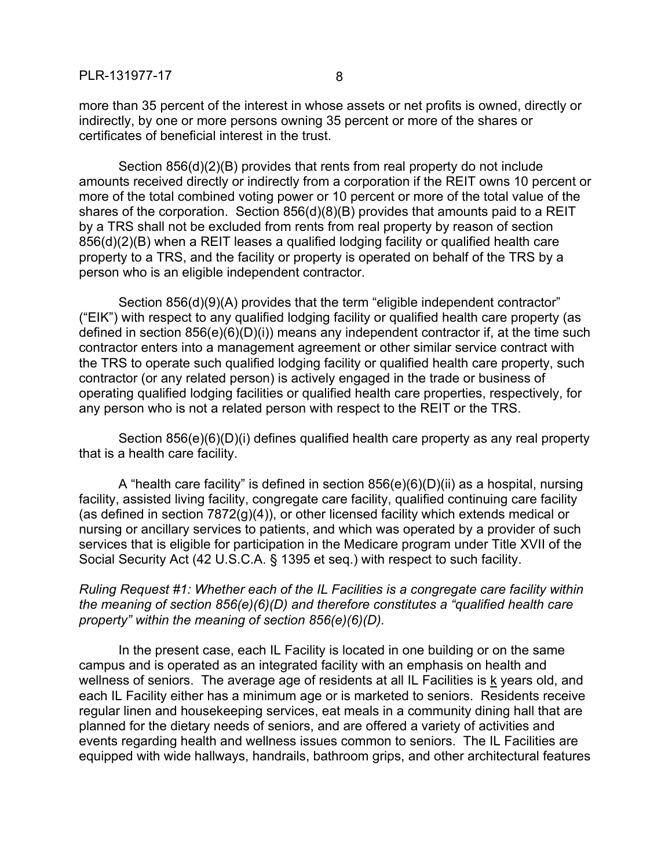more than 35 percent of the interest in whose assets or net profits is owned, directly or indirectly, by one or more persons owning 35 percent or more of the shares or certificates of beneficial interest in the trust.

Section 856(d)(2)(B) provides that rents from real property do not include amounts received directly or indirectly from a corporation if the REIT owns 10 percent or more of the total combined voting power or 10 percent or more of the total value of the shares of the corporation. Section 856(d)(8)(B) provides that amounts paid to a REIT by a TRS shall not be excluded from rents from real property by reason of section 856(d)(2)(B) when a REIT leases a qualified lodging facility or qualified health care property to a TRS, and the facility or property is operated on behalf of the TRS by a person who is an eligible independent contractor.

Section 856(d)(9)(A) provides that the term "eligible independent contractor" ("EIK") with respect to any qualified lodging facility or qualified health care property (as defined in section 856(e)(6)(D)(i)) means any independent contractor if, at the time such contractor enters into a management agreement or other similar service contract with the TRS to operate such qualified lodging facility or qualified health care property, such contractor (or any related person) is actively engaged in the trade or business of operating qualified lodging facilities or qualified health care properties, respectively, for any person who is not a related person with respect to the REIT or the TRS.

Section 856(e)(6)(D)(i) defines qualified health care property as any real property that is a health care facility.

A "health care facility" is defined in section 856(e)(6)(D)(ii) as a hospital, nursing facility, assisted living facility, congregate care facility, qualified continuing care facility (as defined in section 7872(g)(4)), or other licensed facility which extends medical or nursing or ancillary services to patients, and which was operated by a provider of such services that is eligible for participation in the Medicare program under Title XVII of the Social Security Act (42 U.S.C.A. § 1395 et seq.) with respect to such facility.

*Ruling Request #1: Whether each of the IL Facilities is a congregate care facility within the meaning of section 856(e)(6)(D) and therefore constitutes a "qualified health care property" within the meaning of section 856(e)(6)(D).*

In the present case, each IL Facility is located in one building or on the same campus and is operated as an integrated facility with an emphasis on health and wellness of seniors. The average age of residents at all IL Facilities is k years old, and each IL Facility either has a minimum age or is marketed to seniors. Residents receive regular linen and housekeeping services, eat meals in a community dining hall that are planned for the dietary needs of seniors, and are offered a variety of activities and events regarding health and wellness issues common to seniors. The IL Facilities are equipped with wide hallways, handrails, bathroom grips, and other architectural features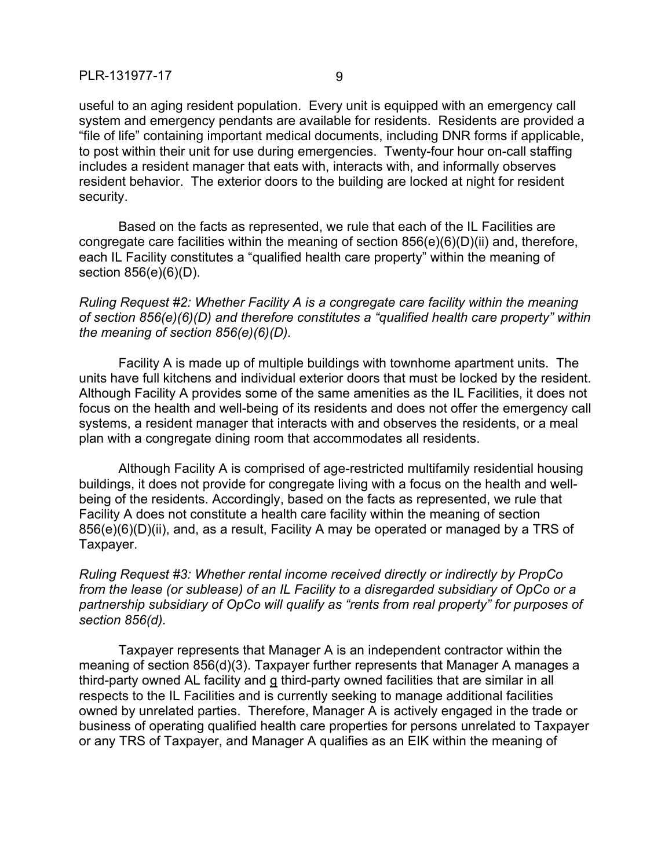useful to an aging resident population. Every unit is equipped with an emergency call system and emergency pendants are available for residents. Residents are provided a "file of life" containing important medical documents, including DNR forms if applicable, to post within their unit for use during emergencies. Twenty-four hour on-call staffing includes a resident manager that eats with, interacts with, and informally observes resident behavior. The exterior doors to the building are locked at night for resident security.

Based on the facts as represented, we rule that each of the IL Facilities are congregate care facilities within the meaning of section 856(e)(6)(D)(ii) and, therefore, each IL Facility constitutes a "qualified health care property" within the meaning of section 856(e)(6)(D).

*Ruling Request #2: Whether Facility A is a congregate care facility within the meaning of section 856(e)(6)(D) and therefore constitutes a "qualified health care property" within the meaning of section 856(e)(6)(D).*

Facility A is made up of multiple buildings with townhome apartment units. The units have full kitchens and individual exterior doors that must be locked by the resident. Although Facility A provides some of the same amenities as the IL Facilities, it does not focus on the health and well-being of its residents and does not offer the emergency call systems, a resident manager that interacts with and observes the residents, or a meal plan with a congregate dining room that accommodates all residents.

Although Facility A is comprised of age-restricted multifamily residential housing buildings, it does not provide for congregate living with a focus on the health and wellbeing of the residents. Accordingly, based on the facts as represented, we rule that Facility A does not constitute a health care facility within the meaning of section 856(e)(6)(D)(ii), and, as a result, Facility A may be operated or managed by a TRS of Taxpayer.

*Ruling Request #3: Whether rental income received directly or indirectly by PropCo from the lease (or sublease) of an IL Facility to a disregarded subsidiary of OpCo or a partnership subsidiary of OpCo will qualify as "rents from real property" for purposes of section 856(d).*

Taxpayer represents that Manager A is an independent contractor within the meaning of section 856(d)(3). Taxpayer further represents that Manager A manages a third-party owned AL facility and g third-party owned facilities that are similar in all respects to the IL Facilities and is currently seeking to manage additional facilities owned by unrelated parties. Therefore, Manager A is actively engaged in the trade or business of operating qualified health care properties for persons unrelated to Taxpayer or any TRS of Taxpayer, and Manager A qualifies as an EIK within the meaning of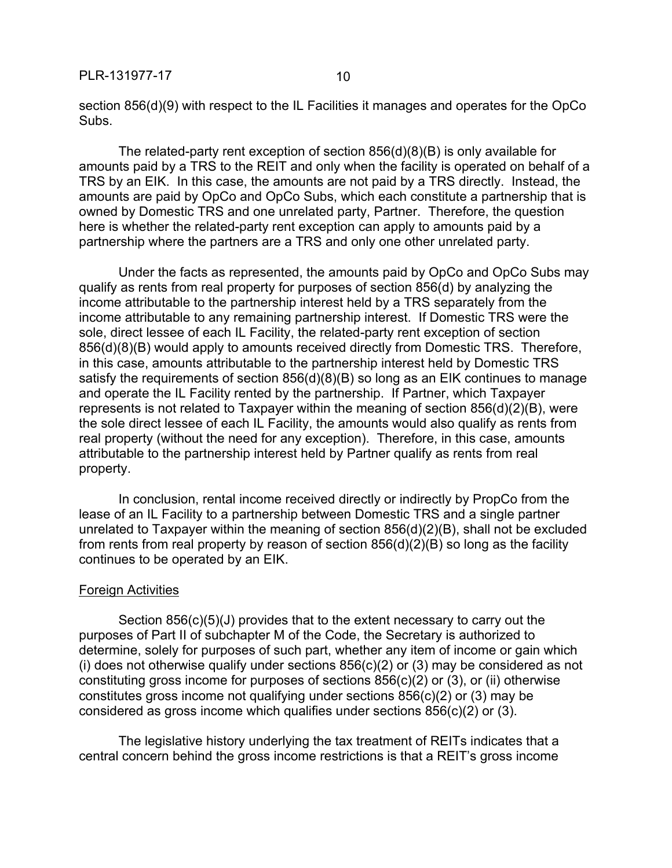section 856(d)(9) with respect to the IL Facilities it manages and operates for the OpCo Subs.

The related-party rent exception of section  $856(d)(8)(B)$  is only available for amounts paid by a TRS to the REIT and only when the facility is operated on behalf of a TRS by an EIK. In this case, the amounts are not paid by a TRS directly. Instead, the amounts are paid by OpCo and OpCo Subs, which each constitute a partnership that is owned by Domestic TRS and one unrelated party, Partner. Therefore, the question here is whether the related-party rent exception can apply to amounts paid by a partnership where the partners are a TRS and only one other unrelated party.

Under the facts as represented, the amounts paid by OpCo and OpCo Subs may qualify as rents from real property for purposes of section 856(d) by analyzing the income attributable to the partnership interest held by a TRS separately from the income attributable to any remaining partnership interest. If Domestic TRS were the sole, direct lessee of each IL Facility, the related-party rent exception of section 856(d)(8)(B) would apply to amounts received directly from Domestic TRS. Therefore, in this case, amounts attributable to the partnership interest held by Domestic TRS satisfy the requirements of section 856(d)(8)(B) so long as an EIK continues to manage and operate the IL Facility rented by the partnership. If Partner, which Taxpayer represents is not related to Taxpayer within the meaning of section 856(d)(2)(B), were the sole direct lessee of each IL Facility, the amounts would also qualify as rents from real property (without the need for any exception). Therefore, in this case, amounts attributable to the partnership interest held by Partner qualify as rents from real property.

In conclusion, rental income received directly or indirectly by PropCo from the lease of an IL Facility to a partnership between Domestic TRS and a single partner unrelated to Taxpayer within the meaning of section 856(d)(2)(B), shall not be excluded from rents from real property by reason of section 856(d)(2)(B) so long as the facility continues to be operated by an EIK.

#### Foreign Activities

Section 856(c)(5)(J) provides that to the extent necessary to carry out the purposes of Part II of subchapter M of the Code, the Secretary is authorized to determine, solely for purposes of such part, whether any item of income or gain which (i) does not otherwise qualify under sections  $856(c)(2)$  or  $(3)$  may be considered as not constituting gross income for purposes of sections 856(c)(2) or (3), or (ii) otherwise constitutes gross income not qualifying under sections 856(c)(2) or (3) may be considered as gross income which qualifies under sections 856(c)(2) or (3).

The legislative history underlying the tax treatment of REITs indicates that a central concern behind the gross income restrictions is that a REIT's gross income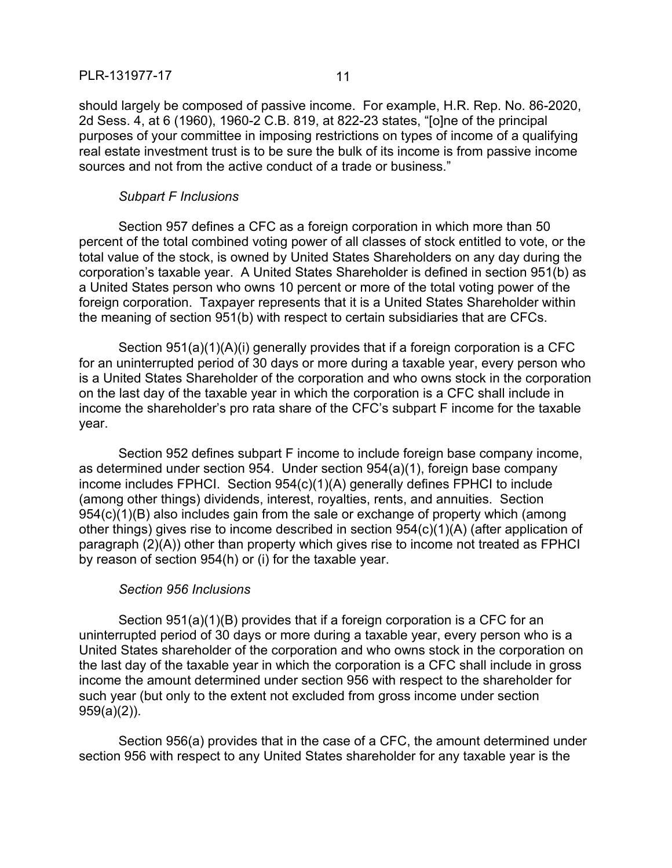should largely be composed of passive income. For example, H.R. Rep. No. 86-2020, 2d Sess. 4, at 6 (1960), 1960-2 C.B. 819, at 822-23 states, "[o]ne of the principal purposes of your committee in imposing restrictions on types of income of a qualifying real estate investment trust is to be sure the bulk of its income is from passive income sources and not from the active conduct of a trade or business."

#### *Subpart F Inclusions*

Section 957 defines a CFC as a foreign corporation in which more than 50 percent of the total combined voting power of all classes of stock entitled to vote, or the total value of the stock, is owned by United States Shareholders on any day during the corporation's taxable year. A United States Shareholder is defined in section 951(b) as a United States person who owns 10 percent or more of the total voting power of the foreign corporation. Taxpayer represents that it is a United States Shareholder within the meaning of section 951(b) with respect to certain subsidiaries that are CFCs.

Section 951(a)(1)(A)(i) generally provides that if a foreign corporation is a CFC for an uninterrupted period of 30 days or more during a taxable year, every person who is a United States Shareholder of the corporation and who owns stock in the corporation on the last day of the taxable year in which the corporation is a CFC shall include in income the shareholder's pro rata share of the CFC's subpart F income for the taxable year.

Section 952 defines subpart F income to include foreign base company income, as determined under section 954. Under section 954(a)(1), foreign base company income includes FPHCI. Section 954(c)(1)(A) generally defines FPHCI to include (among other things) dividends, interest, royalties, rents, and annuities. Section 954(c)(1)(B) also includes gain from the sale or exchange of property which (among other things) gives rise to income described in section 954(c)(1)(A) (after application of paragraph (2)(A)) other than property which gives rise to income not treated as FPHCI by reason of section 954(h) or (i) for the taxable year.

# *Section 956 Inclusions*

Section 951(a)(1)(B) provides that if a foreign corporation is a CFC for an uninterrupted period of 30 days or more during a taxable year, every person who is a United States shareholder of the corporation and who owns stock in the corporation on the last day of the taxable year in which the corporation is a CFC shall include in gross income the amount determined under section 956 with respect to the shareholder for such year (but only to the extent not excluded from gross income under section 959(a)(2)).

Section 956(a) provides that in the case of a CFC, the amount determined under section 956 with respect to any United States shareholder for any taxable year is the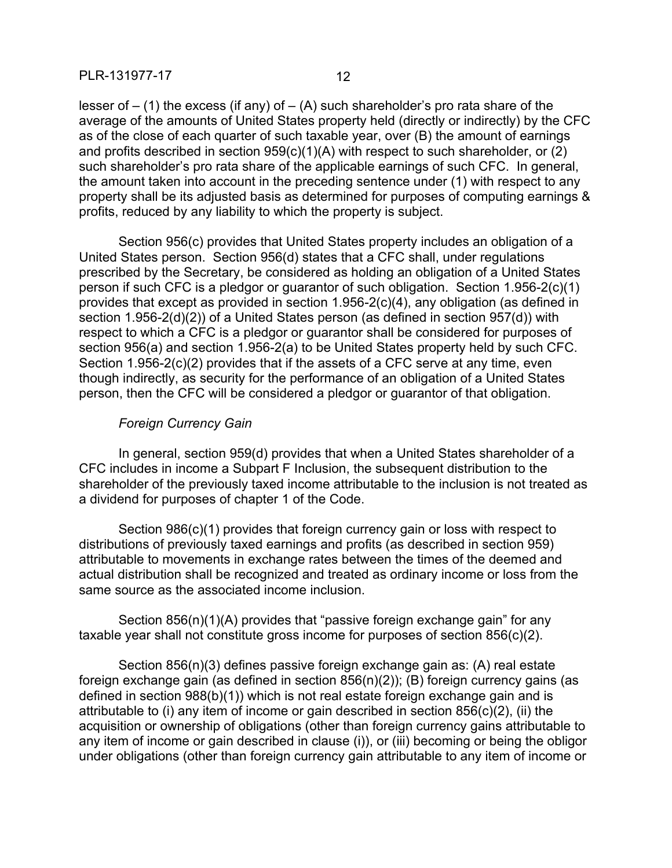lesser of  $-$  (1) the excess (if any) of  $-$  (A) such shareholder's pro rata share of the average of the amounts of United States property held (directly or indirectly) by the CFC as of the close of each quarter of such taxable year, over (B) the amount of earnings and profits described in section 959(c)(1)(A) with respect to such shareholder, or (2) such shareholder's pro rata share of the applicable earnings of such CFC. In general, the amount taken into account in the preceding sentence under (1) with respect to any property shall be its adjusted basis as determined for purposes of computing earnings & profits, reduced by any liability to which the property is subject.

Section 956(c) provides that United States property includes an obligation of a United States person. Section 956(d) states that a CFC shall, under regulations prescribed by the Secretary, be considered as holding an obligation of a United States person if such CFC is a pledgor or guarantor of such obligation. Section 1.956-2(c)(1) provides that except as provided in section 1.956-2(c)(4), any obligation (as defined in section 1.956-2(d)(2)) of a United States person (as defined in section 957(d)) with respect to which a CFC is a pledgor or guarantor shall be considered for purposes of section 956(a) and section 1.956-2(a) to be United States property held by such CFC. Section 1.956-2(c)(2) provides that if the assets of a CFC serve at any time, even though indirectly, as security for the performance of an obligation of a United States person, then the CFC will be considered a pledgor or guarantor of that obligation.

### *Foreign Currency Gain*

In general, section 959(d) provides that when a United States shareholder of a CFC includes in income a Subpart F Inclusion, the subsequent distribution to the shareholder of the previously taxed income attributable to the inclusion is not treated as a dividend for purposes of chapter 1 of the Code.

Section 986(c)(1) provides that foreign currency gain or loss with respect to distributions of previously taxed earnings and profits (as described in section 959) attributable to movements in exchange rates between the times of the deemed and actual distribution shall be recognized and treated as ordinary income or loss from the same source as the associated income inclusion.

Section 856(n)(1)(A) provides that "passive foreign exchange gain" for any taxable year shall not constitute gross income for purposes of section 856(c)(2).

Section 856(n)(3) defines passive foreign exchange gain as: (A) real estate foreign exchange gain (as defined in section 856(n)(2)); (B) foreign currency gains (as defined in section 988(b)(1)) which is not real estate foreign exchange gain and is attributable to (i) any item of income or gain described in section 856(c)(2), (ii) the acquisition or ownership of obligations (other than foreign currency gains attributable to any item of income or gain described in clause (i)), or (iii) becoming or being the obligor under obligations (other than foreign currency gain attributable to any item of income or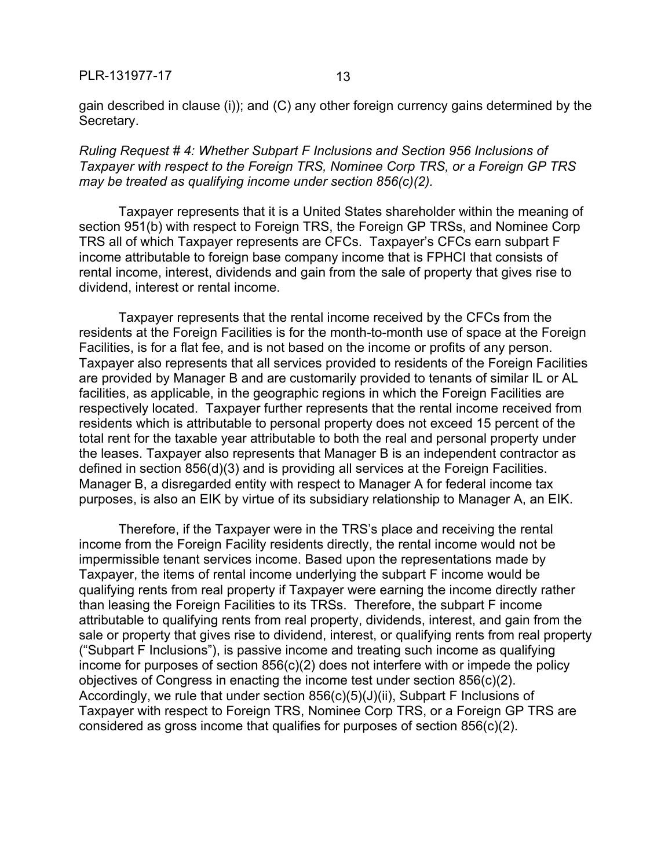gain described in clause (i)); and (C) any other foreign currency gains determined by the Secretary.

*Ruling Request # 4: Whether Subpart F Inclusions and Section 956 Inclusions of Taxpayer with respect to the Foreign TRS, Nominee Corp TRS, or a Foreign GP TRS may be treated as qualifying income under section 856(c)(2).*

Taxpayer represents that it is a United States shareholder within the meaning of section 951(b) with respect to Foreign TRS, the Foreign GP TRSs, and Nominee Corp TRS all of which Taxpayer represents are CFCs. Taxpayer's CFCs earn subpart F income attributable to foreign base company income that is FPHCI that consists of rental income, interest, dividends and gain from the sale of property that gives rise to dividend, interest or rental income.

Taxpayer represents that the rental income received by the CFCs from the residents at the Foreign Facilities is for the month-to-month use of space at the Foreign Facilities, is for a flat fee, and is not based on the income or profits of any person. Taxpayer also represents that all services provided to residents of the Foreign Facilities are provided by Manager B and are customarily provided to tenants of similar IL or AL facilities, as applicable, in the geographic regions in which the Foreign Facilities are respectively located. Taxpayer further represents that the rental income received from residents which is attributable to personal property does not exceed 15 percent of the total rent for the taxable year attributable to both the real and personal property under the leases. Taxpayer also represents that Manager B is an independent contractor as defined in section 856(d)(3) and is providing all services at the Foreign Facilities. Manager B, a disregarded entity with respect to Manager A for federal income tax purposes, is also an EIK by virtue of its subsidiary relationship to Manager A, an EIK.

Therefore, if the Taxpayer were in the TRS's place and receiving the rental income from the Foreign Facility residents directly, the rental income would not be impermissible tenant services income. Based upon the representations made by Taxpayer, the items of rental income underlying the subpart F income would be qualifying rents from real property if Taxpayer were earning the income directly rather than leasing the Foreign Facilities to its TRSs. Therefore, the subpart F income attributable to qualifying rents from real property, dividends, interest, and gain from the sale or property that gives rise to dividend, interest, or qualifying rents from real property ("Subpart F Inclusions"), is passive income and treating such income as qualifying income for purposes of section 856(c)(2) does not interfere with or impede the policy objectives of Congress in enacting the income test under section 856(c)(2). Accordingly, we rule that under section  $856(c)(5)(J)(ii)$ , Subpart F Inclusions of Taxpayer with respect to Foreign TRS, Nominee Corp TRS, or a Foreign GP TRS are considered as gross income that qualifies for purposes of section 856(c)(2).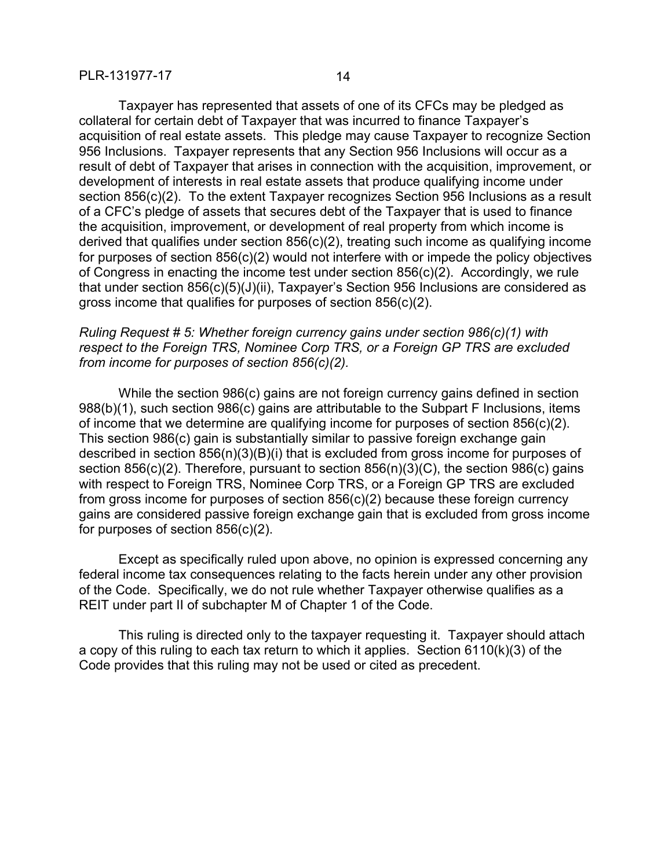Taxpayer has represented that assets of one of its CFCs may be pledged as collateral for certain debt of Taxpayer that was incurred to finance Taxpayer's acquisition of real estate assets. This pledge may cause Taxpayer to recognize Section 956 Inclusions. Taxpayer represents that any Section 956 Inclusions will occur as a result of debt of Taxpayer that arises in connection with the acquisition, improvement, or development of interests in real estate assets that produce qualifying income under section 856(c)(2). To the extent Taxpayer recognizes Section 956 Inclusions as a result of a CFC's pledge of assets that secures debt of the Taxpayer that is used to finance the acquisition, improvement, or development of real property from which income is derived that qualifies under section 856(c)(2), treating such income as qualifying income for purposes of section 856(c)(2) would not interfere with or impede the policy objectives of Congress in enacting the income test under section 856(c)(2). Accordingly, we rule that under section 856(c)(5)(J)(ii), Taxpayer's Section 956 Inclusions are considered as gross income that qualifies for purposes of section 856(c)(2).

# *Ruling Request # 5: Whether foreign currency gains under section 986(c)(1) with respect to the Foreign TRS, Nominee Corp TRS, or a Foreign GP TRS are excluded from income for purposes of section 856(c)(2).*

While the section 986(c) gains are not foreign currency gains defined in section 988(b)(1), such section 986(c) gains are attributable to the Subpart F Inclusions, items of income that we determine are qualifying income for purposes of section 856(c)(2). This section 986(c) gain is substantially similar to passive foreign exchange gain described in section 856(n)(3)(B)(i) that is excluded from gross income for purposes of section 856(c)(2). Therefore, pursuant to section 856(n)(3)(C), the section 986(c) gains with respect to Foreign TRS, Nominee Corp TRS, or a Foreign GP TRS are excluded from gross income for purposes of section 856(c)(2) because these foreign currency gains are considered passive foreign exchange gain that is excluded from gross income for purposes of section 856(c)(2).

Except as specifically ruled upon above, no opinion is expressed concerning any federal income tax consequences relating to the facts herein under any other provision of the Code. Specifically, we do not rule whether Taxpayer otherwise qualifies as a REIT under part II of subchapter M of Chapter 1 of the Code.

This ruling is directed only to the taxpayer requesting it. Taxpayer should attach a copy of this ruling to each tax return to which it applies. Section 6110(k)(3) of the Code provides that this ruling may not be used or cited as precedent.